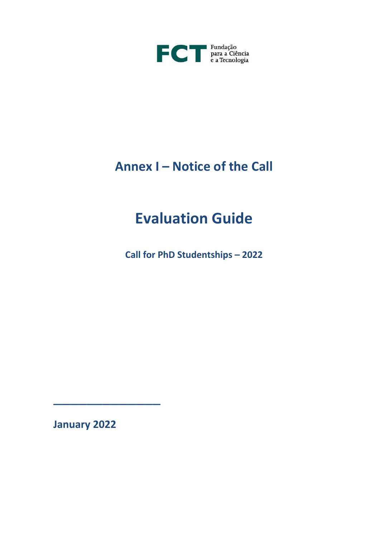

## **Annex I – Notice of the Call**

# **Evaluation Guide**

**Call for PhD Studentships – 2022**

**January 2022**

\_\_\_\_\_\_\_\_\_\_\_\_\_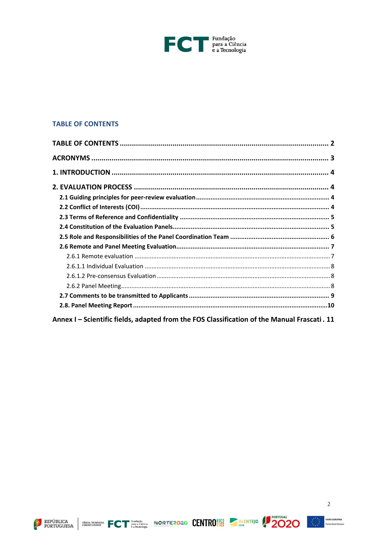

## <span id="page-1-0"></span>**TABLE OF CONTENTS**

| Annex I - Scientific fields, adapted from the FOS Classification of the Manual Frascati. 11 |  |
|---------------------------------------------------------------------------------------------|--|







 $\overline{2}$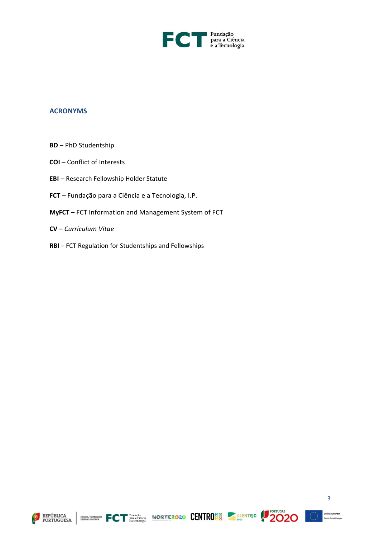

### <span id="page-2-0"></span>**ACRONYMS**

- **BD**  PhD Studentship
- **COI**  Conflict of Interests
- **EBI**  Research Fellowship Holder Statute
- **FCT**  Fundação para a Ciência e a Tecnologia, I.P.
- **MyFCT** FCT Information and Management System of FCT
- **CV**  *Curriculum Vitae*
- **RBI**  FCT Regulation for Studentships and Fellowships







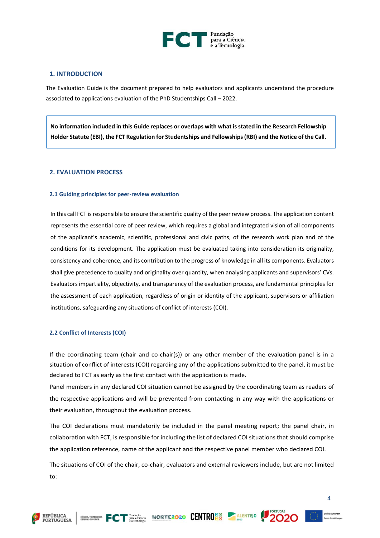

#### <span id="page-3-0"></span>**1. INTRODUCTION**

The Evaluation Guide is the document prepared to help evaluators and applicants understand the procedure associated to applications evaluation of the PhD Studentships Call – 2022.

**No information included in this Guide replaces or overlaps with what is stated in the Research Fellowship Holder Statute (EBI), the FCT Regulation for Studentships and Fellowships(RBI) and the Notice of the Call.**

#### <span id="page-3-1"></span>**2. EVALUATION PROCESS**

#### <span id="page-3-2"></span>**2.1 Guiding principles for peer-review evaluation**

In this call FCT is responsible to ensure the scientific quality of the peer review process. The application content represents the essential core of peer review, which requires a global and integrated vision of all components of the applicant's academic, scientific, professional and civic paths, of the research work plan and of the conditions for its development. The application must be evaluated taking into consideration its originality, consistency and coherence, and its contribution to the progress of knowledge in all its components. Evaluators shall give precedence to quality and originality over quantity, when analysing applicants and supervisors' CVs. Evaluators impartiality, objectivity, and transparency of the evaluation process, are fundamental principles for the assessment of each application, regardless of origin or identity of the applicant, supervisors or affiliation institutions, safeguarding any situations of conflict of interests (COI).

#### <span id="page-3-3"></span>**2.2 Conflict of Interests (COI)**

If the coordinating team (chair and co-chair(s)) or any other member of the evaluation panel is in a situation of conflict of interests (COI) regarding any of the applications submitted to the panel, it must be declared to FCT as early as the first contact with the application is made.

Panel members in any declared COI situation cannot be assigned by the coordinating team as readers of the respective applications and will be prevented from contacting in any way with the applications or their evaluation, throughout the evaluation process.

The COI declarations must mandatorily be included in the panel meeting report; the panel chair, in collaboration with FCT, is responsible for including the list of declared COI situations that should comprise the application reference, name of the applicant and the respective panel member who declared COI.

The situations of COI of the chair, co-chair, evaluators and external reviewers include, but are not limited to:







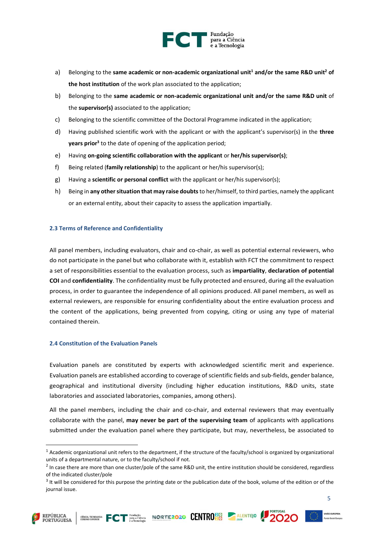

- a) Belonging to the **same academic or non-academic organizational unit<sup>1</sup> and/or the same R&D unit<sup>2</sup> of the host institution** of the work plan associated to the application;
- b) Belonging to the **same academic or non-academic organizational unit and/or the same R&D unit** of the **supervisor(s)** associated to the application;
- c) Belonging to the scientific committee of the Doctoral Programme indicated in the application;
- d) Having published scientific work with the applicant or with the applicant's supervisor(s) in the **three years prior<sup>3</sup>** to the date of opening of the application period;
- e) Having **on-going scientific collaboration with the applicant** or **her/his supervisor(s)**;
- f) Being related (**family relationship**) to the applicant or her/his supervisor(s);
- g) Having a **scientific or personal conflict** with the applicant or her/his supervisor(s);
- h) Being in **any other situation that may raise doubts** to her/himself, to third parties, namely the applicant or an external entity, about their capacity to assess the application impartially.

#### <span id="page-4-0"></span>**2.3 Terms of Reference and Confidentiality**

All panel members, including evaluators, chair and co-chair, as well as potential external reviewers, who do not participate in the panel but who collaborate with it, establish with FCT the commitment to respect a set of responsibilities essential to the evaluation process, such as **impartiality**, **declaration of potential COI** and **confidentiality**. The confidentiality must be fully protected and ensured, during all the evaluation process, in order to guarantee the independence of all opinions produced. All panel members, as well as external reviewers, are responsible for ensuring confidentiality about the entire evaluation process and the content of the applications, being prevented from copying, citing or using any type of material contained therein.

#### <span id="page-4-1"></span>**2.4 Constitution of the Evaluation Panels**

Evaluation panels are constituted by experts with acknowledged scientific merit and experience. Evaluation panels are established according to coverage of scientific fields and sub-fields, gender balance, geographical and institutional diversity (including higher education institutions, R&D units, state laboratories and associated laboratories, companies, among others).

All the panel members, including the chair and co-chair, and external reviewers that may eventually collaborate with the panel, **may never be part of the supervising team** of applicants with applications submitted under the evaluation panel where they participate, but may, nevertheless, be associated to







 $1$  Academic organizational unit refers to the department, if the structure of the faculty/school is organized by organizational units of a departmental nature, or to the faculty/school if not.

 $<sup>2</sup>$  In case there are more than one cluster/pole of the same R&D unit, the entire institution should be considered, regardless</sup> of the indicated cluster/pole

<sup>&</sup>lt;sup>3</sup> It will be considered for this purpose the printing date or the publication date of the book, volume of the edition or of the journal issue.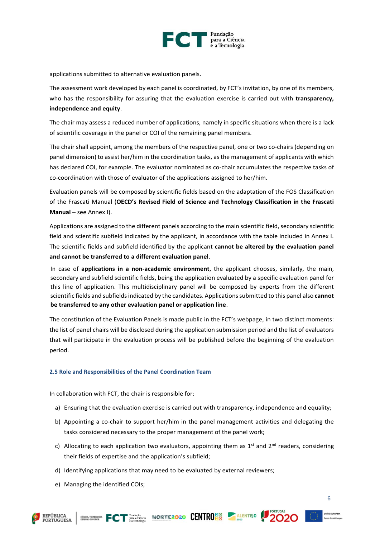

applications submitted to alternative evaluation panels.

The assessment work developed by each panel is coordinated, by FCT's invitation, by one of its members, who has the responsibility for assuring that the evaluation exercise is carried out with **transparency, independence and equity**.

The chair may assess a reduced number of applications, namely in specific situations when there is a lack of scientific coverage in the panel or COI of the remaining panel members.

The chair shall appoint, among the members of the respective panel, one or two co-chairs (depending on panel dimension) to assist her/him in the coordination tasks, as the management of applicants with which has declared COI, for example. The evaluator nominated as co-chair accumulates the respective tasks of co-coordination with those of evaluator of the applications assigned to her/him.

Evaluation panels will be composed by scientific fields based on the adaptation of the FOS Classification of the Frascati Manual (**OECD's Revised Field of Science and Technology Classification in the Frascati Manual** – see Annex I).

Applications are assigned to the different panels according to the main scientific field, secondary scientific field and scientific subfield indicated by the applicant, in accordance with the table included in Annex I. The scientific fields and subfield identified by the applicant **cannot be altered by the evaluation panel and cannot be transferred to a different evaluation panel**.

In case of **applications in a non-academic environment**, the applicant chooses, similarly, the main, secondary and subfield scientific fields, being the application evaluated by a specific evaluation panel for this line of application. This multidisciplinary panel will be composed by experts from the different scientific fields and subfields indicated by the candidates. Applications submitted to this panel also **cannot be transferred to any other evaluation panel or application line**.

The constitution of the Evaluation Panels is made public in the FCT's webpage, in two distinct moments: the list of panel chairs will be disclosed during the application submission period and the list of evaluators that will participate in the evaluation process will be published before the beginning of the evaluation period.

#### <span id="page-5-0"></span>**2.5 Role and Responsibilities of the Panel Coordination Team**

In collaboration with FCT, the chair is responsible for:

- a) Ensuring that the evaluation exercise is carried out with transparency, independence and equality;
- b) Appointing a co-chair to support her/him in the panel management activities and delegating the tasks considered necessary to the proper management of the panel work;
- c) Allocating to each application two evaluators, appointing them as  $1<sup>st</sup>$  and  $2<sup>nd</sup>$  readers, considering their fields of expertise and the application's subfield;
- d) Identifying applications that may need to be evaluated by external reviewers;
- e) Managing the identified COIs;







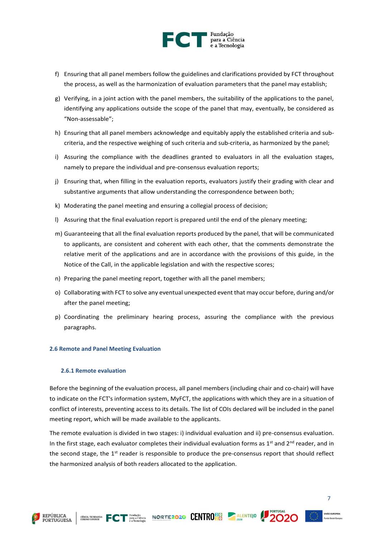

- f) Ensuring that all panel members follow the guidelines and clarifications provided by FCT throughout the process, as well as the harmonization of evaluation parameters that the panel may establish;
- g) Verifying, in a joint action with the panel members, the suitability of the applications to the panel, identifying any applications outside the scope of the panel that may, eventually, be considered as "Non-assessable";
- h) Ensuring that all panel members acknowledge and equitably apply the established criteria and subcriteria, and the respective weighing of such criteria and sub-criteria, as harmonized by the panel;
- i) Assuring the compliance with the deadlines granted to evaluators in all the evaluation stages, namely to prepare the individual and pre-consensus evaluation reports;
- j) Ensuring that, when filling in the evaluation reports, evaluators justify their grading with clear and substantive arguments that allow understanding the correspondence between both;
- k) Moderating the panel meeting and ensuring a collegial process of decision;
- l) Assuring that the final evaluation report is prepared until the end of the plenary meeting;
- m) Guaranteeing that all the final evaluation reports produced by the panel, that will be communicated to applicants, are consistent and coherent with each other, that the comments demonstrate the relative merit of the applications and are in accordance with the provisions of this guide, in the Notice of the Call, in the applicable legislation and with the respective scores;
- n) Preparing the panel meeting report, together with all the panel members;
- o) Collaborating with FCT to solve any eventual unexpected event that may occur before, during and/or after the panel meeting;
- p) Coordinating the preliminary hearing process, assuring the compliance with the previous paragraphs.

#### <span id="page-6-0"></span>**2.6 Remote and Panel Meeting Evaluation**

#### <span id="page-6-1"></span>**2.6.1 Remote evaluation**

Before the beginning of the evaluation process, all panel members (including chair and co-chair) will have to indicate on the FCT's information system, MyFCT, the applications with which they are in a situation of conflict of interests, preventing access to its details. The list of COIs declared will be included in the panel meeting report, which will be made available to the applicants.

The remote evaluation is divided in two stages: i) individual evaluation and ii) pre-consensus evaluation. In the first stage, each evaluator completes their individual evaluation forms as  $1<sup>st</sup>$  and  $2<sup>nd</sup>$  reader, and in the second stage, the  $1<sup>st</sup>$  reader is responsible to produce the pre-consensus report that should reflect the harmonized analysis of both readers allocated to the application.





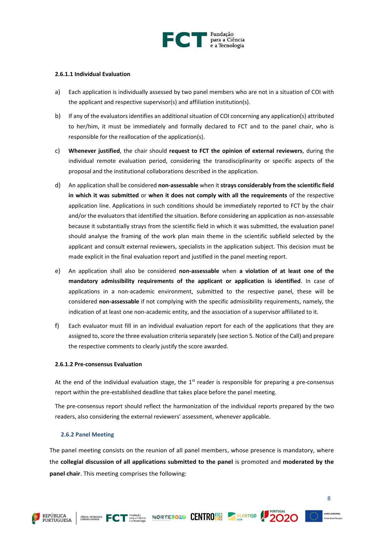

#### <span id="page-7-0"></span>**2.6.1.1 Individual Evaluation**

- a) Each application is individually assessed by two panel members who are not in a situation of COI with the applicant and respective supervisor(s) and affiliation institution(s).
- b) If any of the evaluators identifies an additional situation of COI concerning any application(s) attributed to her/him, it must be immediately and formally declared to FCT and to the panel chair, who is responsible for the reallocation of the application(s).
- c) **Whenever justified**, the chair should **request to FCT the opinion of external reviewers**, during the individual remote evaluation period, considering the transdisciplinarity or specific aspects of the proposal and the institutional collaborations described in the application.
- d) An application shall be considered **non-assessable** when it **strays considerably from the scientific field in which it was submitted** or **when it does not comply with all the requirements** of the respective application line. Applications in such conditions should be immediately reported to FCT by the chair and/or the evaluators that identified the situation. Before considering an application as non-assessable because it substantially strays from the scientific field in which it was submitted, the evaluation panel should analyse the framing of the work plan main theme in the scientific subfield selected by the applicant and consult external reviewers, specialists in the application subject. This decision must be made explicit in the final evaluation report and justified in the panel meeting report.
- e) An application shall also be considered **non-assessable** when **a violation of at least one of the mandatory admissibility requirements of the applicant or application is identified**. In case of applications in a non-academic environment, submitted to the respective panel, these will be considered **non-assessable** if not complying with the specific admissibility requirements, namely, the indication of at least one non-academic entity, and the association of a supervisor affiliated to it.
- f) Each evaluator must fill in an individual evaluation report for each of the applications that they are assigned to, score the three evaluation criteria separately (see section 5. Notice of the Call) and prepare the respective comments to clearly justify the score awarded.

#### <span id="page-7-1"></span>**2.6.1.2 Pre-consensus Evaluation**

At the end of the individual evaluation stage, the  $1<sup>st</sup>$  reader is responsible for preparing a pre-consensus report within the pre-established deadline that takes place before the panel meeting.

The pre-consensus report should reflect the harmonization of the individual reports prepared by the two readers, also considering the external reviewers' assessment, whenever applicable.

#### <span id="page-7-2"></span>**2.6.2 Panel Meeting**

The panel meeting consists on the reunion of all panel members, whose presence is mandatory, where the **collegial discussion of all applications submitted to the panel** is promoted and **moderated by the panel chair**. This meeting comprises the following:





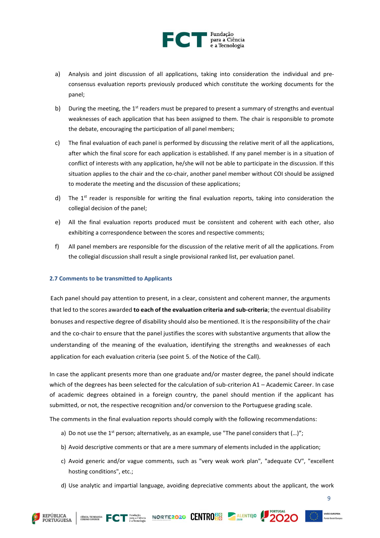

- a) Analysis and joint discussion of all applications, taking into consideration the individual and preconsensus evaluation reports previously produced which constitute the working documents for the panel;
- b) During the meeting, the  $1<sup>st</sup>$  readers must be prepared to present a summary of strengths and eventual weaknesses of each application that has been assigned to them. The chair is responsible to promote the debate, encouraging the participation of all panel members;
- c) The final evaluation of each panel is performed by discussing the relative merit of all the applications, after which the final score for each application is established. If any panel member is in a situation of conflict of interests with any application, he/she will not be able to participate in the discussion. If this situation applies to the chair and the co-chair, another panel member without COI should be assigned to moderate the meeting and the discussion of these applications;
- d) The  $1<sup>st</sup>$  reader is responsible for writing the final evaluation reports, taking into consideration the collegial decision of the panel;
- e) All the final evaluation reports produced must be consistent and coherent with each other, also exhibiting a correspondence between the scores and respective comments;
- f) All panel members are responsible for the discussion of the relative merit of all the applications. From the collegial discussion shall result a single provisional ranked list, per evaluation panel.

#### <span id="page-8-0"></span>**2.7 Comments to be transmitted to Applicants**

Each panel should pay attention to present, in a clear, consistent and coherent manner, the arguments that led to the scores awarded **to each of the evaluation criteria and sub-criteria**; the eventual disability bonuses and respective degree of disability should also be mentioned. It is the responsibility of the chair and the co-chair to ensure that the panel justifies the scores with substantive arguments that allow the understanding of the meaning of the evaluation, identifying the strengths and weaknesses of each application for each evaluation criteria (see point 5. of the Notice of the Call).

In case the applicant presents more than one graduate and/or master degree, the panel should indicate which of the degrees has been selected for the calculation of sub-criterion A1 – Academic Career. In case of academic degrees obtained in a foreign country, the panel should mention if the applicant has submitted, or not, the respective recognition and/or conversion to the Portuguese grading scale.

The comments in the final evaluation reports should comply with the following recommendations:

- a) Do not use the 1<sup>st</sup> person; alternatively, as an example, use "The panel considers that  $(...)$ ";
- b) Avoid descriptive comments or that are a mere summary of elements included in the application;
- c) Avoid generic and/or vague comments, such as "very weak work plan", "adequate CV", "excellent hosting conditions", etc.;
- d) Use analytic and impartial language, avoiding depreciative comments about the applicant, the work



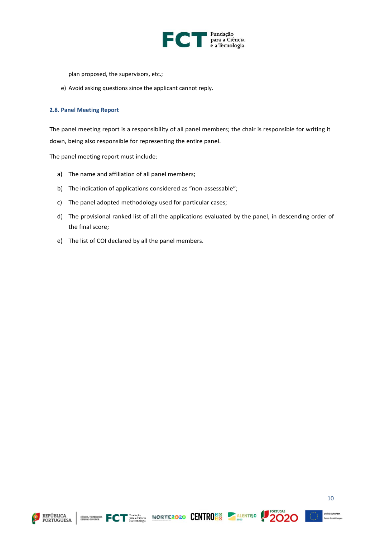

plan proposed, the supervisors, etc.;

e) Avoid asking questions since the applicant cannot reply.

#### <span id="page-9-0"></span>**2.8. Panel Meeting Report**

The panel meeting report is a responsibility of all panel members; the chair is responsible for writing it down, being also responsible for representing the entire panel.

The panel meeting report must include:

- a) The name and affiliation of all panel members;
- b) The indication of applications considered as "non-assessable";
- c) The panel adopted methodology used for particular cases;
- d) The provisional ranked list of all the applications evaluated by the panel, in descending order of the final score;
- e) The list of COI declared by all the panel members.







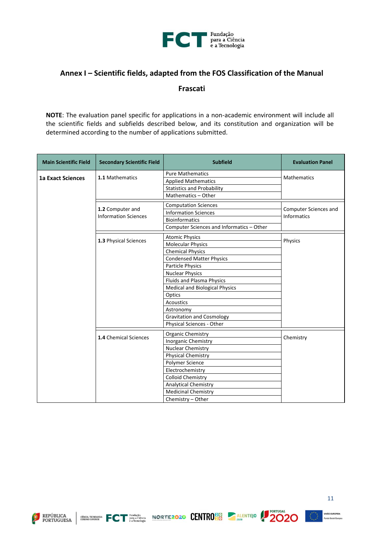

## <span id="page-10-0"></span>**Annex I – Scientific fields, adapted from the FOS Classification of the Manual**

**Frascati**

**NOTE**: The evaluation panel specific for applications in a non-academic environment will include all the scientific fields and subfields described below, and its constitution and organization will be determined according to the number of applications submitted.

| <b>Main Scientific Field</b> | <b>Secondary Scientific Field</b> | <b>Subfield</b>                           | <b>Evaluation Panel</b> |
|------------------------------|-----------------------------------|-------------------------------------------|-------------------------|
| <b>1a Exact Sciences</b>     | 1.1 Mathematics                   | <b>Pure Mathematics</b>                   | <b>Mathematics</b>      |
|                              |                                   | <b>Applied Mathematics</b>                |                         |
|                              |                                   | <b>Statistics and Probability</b>         |                         |
|                              |                                   | Mathematics - Other                       |                         |
|                              | 1.2 Computer and                  | <b>Computation Sciences</b>               | Computer Sciences and   |
|                              | <b>Information Sciences</b>       | <b>Information Sciences</b>               | <b>Informatics</b>      |
|                              |                                   | <b>Bioinformatics</b>                     |                         |
|                              |                                   | Computer Sciences and Informatics - Other |                         |
|                              |                                   | <b>Atomic Physics</b>                     |                         |
|                              | 1.3 Physical Sciences             | <b>Molecular Physics</b>                  | Physics                 |
|                              |                                   | <b>Chemical Physics</b>                   |                         |
|                              |                                   | <b>Condensed Matter Physics</b>           |                         |
|                              |                                   | Particle Physics                          |                         |
|                              |                                   | <b>Nuclear Physics</b>                    |                         |
|                              |                                   | Fluids and Plasma Physics                 |                         |
|                              |                                   | <b>Medical and Biological Physics</b>     |                         |
|                              |                                   | Optics                                    |                         |
|                              |                                   | <b>Acoustics</b>                          |                         |
|                              |                                   | Astronomy                                 |                         |
|                              |                                   | <b>Gravitation and Cosmology</b>          |                         |
|                              |                                   | Physical Sciences - Other                 |                         |
|                              | <b>1.4</b> Chemical Sciences      | Organic Chemistry                         |                         |
|                              |                                   | Inorganic Chemistry                       | Chemistry               |
|                              |                                   | Nuclear Chemistry                         |                         |
|                              |                                   | <b>Physical Chemistry</b>                 |                         |
|                              |                                   | Polymer Science                           |                         |
|                              |                                   | Electrochemistry                          |                         |
|                              |                                   | <b>Colloid Chemistry</b>                  |                         |
|                              |                                   | <b>Analytical Chemistry</b>               |                         |
|                              |                                   | <b>Medicinal Chemistry</b>                |                         |
|                              |                                   | Chemistry - Other                         |                         |







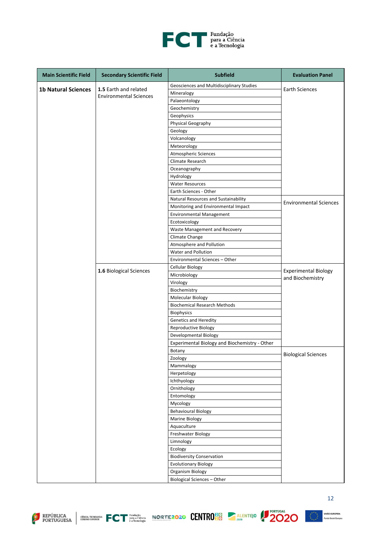

| Geosciences and Multidisciplinary Studies<br><b>1b Natural Sciences</b><br>1.5 Earth and related<br><b>Earth Sciences</b><br>Mineralogy<br><b>Environmental Sciences</b><br>Palaeontology<br>Geochemistry<br>Geophysics<br>Physical Geography<br>Geology<br>Volcanology<br>Meteorology<br>Atmospheric Sciences<br>Climate Research<br>Oceanography<br>Hydrology<br><b>Water Resources</b><br>Earth Sciences - Other<br>Natural Resources and Sustainability<br><b>Environmental Sciences</b><br>Monitoring and Environmental Impact<br><b>Environmental Management</b><br>Ecotoxicology<br>Waste Management and Recovery<br>Climate Change<br>Atmosphere and Pollution<br>Water and Pollution<br>Environmental Sciences - Other<br>Cellular Biology<br>1.6 Biological Sciences<br><b>Experimental Biology</b><br>Microbiology<br>and Biochemistry<br>Virology<br>Biochemistry<br>Molecular Biology<br><b>Biochemical Research Methods</b><br><b>Biophysics</b><br><b>Genetics and Heredity</b><br>Reproductive Biology<br>Developmental Biology<br>Experimental Biology and Biochemistry - Other<br>Botany<br><b>Biological Sciences</b><br>Zoology<br>Mammalogy<br>Herpetology<br>Ichthyology<br>Ornithology<br>Entomology<br>Mycology<br><b>Behavioural Biology</b><br>Marine Biology<br>Aquaculture<br>Freshwater Biology<br>Limnology<br>Ecology<br><b>Biodiversity Conservation</b><br><b>Evolutionary Biology</b><br>Organism Biology | <b>Main Scientific Field</b> | <b>Secondary Scientific Field</b> | <b>Subfield</b>                    | <b>Evaluation Panel</b> |
|---------------------------------------------------------------------------------------------------------------------------------------------------------------------------------------------------------------------------------------------------------------------------------------------------------------------------------------------------------------------------------------------------------------------------------------------------------------------------------------------------------------------------------------------------------------------------------------------------------------------------------------------------------------------------------------------------------------------------------------------------------------------------------------------------------------------------------------------------------------------------------------------------------------------------------------------------------------------------------------------------------------------------------------------------------------------------------------------------------------------------------------------------------------------------------------------------------------------------------------------------------------------------------------------------------------------------------------------------------------------------------------------------------------------------------------------|------------------------------|-----------------------------------|------------------------------------|-------------------------|
|                                                                                                                                                                                                                                                                                                                                                                                                                                                                                                                                                                                                                                                                                                                                                                                                                                                                                                                                                                                                                                                                                                                                                                                                                                                                                                                                                                                                                                             |                              |                                   |                                    |                         |
|                                                                                                                                                                                                                                                                                                                                                                                                                                                                                                                                                                                                                                                                                                                                                                                                                                                                                                                                                                                                                                                                                                                                                                                                                                                                                                                                                                                                                                             |                              |                                   |                                    |                         |
|                                                                                                                                                                                                                                                                                                                                                                                                                                                                                                                                                                                                                                                                                                                                                                                                                                                                                                                                                                                                                                                                                                                                                                                                                                                                                                                                                                                                                                             |                              |                                   |                                    |                         |
|                                                                                                                                                                                                                                                                                                                                                                                                                                                                                                                                                                                                                                                                                                                                                                                                                                                                                                                                                                                                                                                                                                                                                                                                                                                                                                                                                                                                                                             |                              |                                   |                                    |                         |
|                                                                                                                                                                                                                                                                                                                                                                                                                                                                                                                                                                                                                                                                                                                                                                                                                                                                                                                                                                                                                                                                                                                                                                                                                                                                                                                                                                                                                                             |                              |                                   |                                    |                         |
|                                                                                                                                                                                                                                                                                                                                                                                                                                                                                                                                                                                                                                                                                                                                                                                                                                                                                                                                                                                                                                                                                                                                                                                                                                                                                                                                                                                                                                             |                              |                                   |                                    |                         |
|                                                                                                                                                                                                                                                                                                                                                                                                                                                                                                                                                                                                                                                                                                                                                                                                                                                                                                                                                                                                                                                                                                                                                                                                                                                                                                                                                                                                                                             |                              |                                   |                                    |                         |
|                                                                                                                                                                                                                                                                                                                                                                                                                                                                                                                                                                                                                                                                                                                                                                                                                                                                                                                                                                                                                                                                                                                                                                                                                                                                                                                                                                                                                                             |                              |                                   |                                    |                         |
|                                                                                                                                                                                                                                                                                                                                                                                                                                                                                                                                                                                                                                                                                                                                                                                                                                                                                                                                                                                                                                                                                                                                                                                                                                                                                                                                                                                                                                             |                              |                                   |                                    |                         |
|                                                                                                                                                                                                                                                                                                                                                                                                                                                                                                                                                                                                                                                                                                                                                                                                                                                                                                                                                                                                                                                                                                                                                                                                                                                                                                                                                                                                                                             |                              |                                   |                                    |                         |
|                                                                                                                                                                                                                                                                                                                                                                                                                                                                                                                                                                                                                                                                                                                                                                                                                                                                                                                                                                                                                                                                                                                                                                                                                                                                                                                                                                                                                                             |                              |                                   |                                    |                         |
|                                                                                                                                                                                                                                                                                                                                                                                                                                                                                                                                                                                                                                                                                                                                                                                                                                                                                                                                                                                                                                                                                                                                                                                                                                                                                                                                                                                                                                             |                              |                                   |                                    |                         |
|                                                                                                                                                                                                                                                                                                                                                                                                                                                                                                                                                                                                                                                                                                                                                                                                                                                                                                                                                                                                                                                                                                                                                                                                                                                                                                                                                                                                                                             |                              |                                   |                                    |                         |
|                                                                                                                                                                                                                                                                                                                                                                                                                                                                                                                                                                                                                                                                                                                                                                                                                                                                                                                                                                                                                                                                                                                                                                                                                                                                                                                                                                                                                                             |                              |                                   |                                    |                         |
|                                                                                                                                                                                                                                                                                                                                                                                                                                                                                                                                                                                                                                                                                                                                                                                                                                                                                                                                                                                                                                                                                                                                                                                                                                                                                                                                                                                                                                             |                              |                                   |                                    |                         |
|                                                                                                                                                                                                                                                                                                                                                                                                                                                                                                                                                                                                                                                                                                                                                                                                                                                                                                                                                                                                                                                                                                                                                                                                                                                                                                                                                                                                                                             |                              |                                   |                                    |                         |
|                                                                                                                                                                                                                                                                                                                                                                                                                                                                                                                                                                                                                                                                                                                                                                                                                                                                                                                                                                                                                                                                                                                                                                                                                                                                                                                                                                                                                                             |                              |                                   |                                    |                         |
|                                                                                                                                                                                                                                                                                                                                                                                                                                                                                                                                                                                                                                                                                                                                                                                                                                                                                                                                                                                                                                                                                                                                                                                                                                                                                                                                                                                                                                             |                              |                                   |                                    |                         |
|                                                                                                                                                                                                                                                                                                                                                                                                                                                                                                                                                                                                                                                                                                                                                                                                                                                                                                                                                                                                                                                                                                                                                                                                                                                                                                                                                                                                                                             |                              |                                   |                                    |                         |
|                                                                                                                                                                                                                                                                                                                                                                                                                                                                                                                                                                                                                                                                                                                                                                                                                                                                                                                                                                                                                                                                                                                                                                                                                                                                                                                                                                                                                                             |                              |                                   |                                    |                         |
|                                                                                                                                                                                                                                                                                                                                                                                                                                                                                                                                                                                                                                                                                                                                                                                                                                                                                                                                                                                                                                                                                                                                                                                                                                                                                                                                                                                                                                             |                              |                                   |                                    |                         |
|                                                                                                                                                                                                                                                                                                                                                                                                                                                                                                                                                                                                                                                                                                                                                                                                                                                                                                                                                                                                                                                                                                                                                                                                                                                                                                                                                                                                                                             |                              |                                   |                                    |                         |
|                                                                                                                                                                                                                                                                                                                                                                                                                                                                                                                                                                                                                                                                                                                                                                                                                                                                                                                                                                                                                                                                                                                                                                                                                                                                                                                                                                                                                                             |                              |                                   |                                    |                         |
|                                                                                                                                                                                                                                                                                                                                                                                                                                                                                                                                                                                                                                                                                                                                                                                                                                                                                                                                                                                                                                                                                                                                                                                                                                                                                                                                                                                                                                             |                              |                                   |                                    |                         |
|                                                                                                                                                                                                                                                                                                                                                                                                                                                                                                                                                                                                                                                                                                                                                                                                                                                                                                                                                                                                                                                                                                                                                                                                                                                                                                                                                                                                                                             |                              |                                   |                                    |                         |
|                                                                                                                                                                                                                                                                                                                                                                                                                                                                                                                                                                                                                                                                                                                                                                                                                                                                                                                                                                                                                                                                                                                                                                                                                                                                                                                                                                                                                                             |                              |                                   |                                    |                         |
|                                                                                                                                                                                                                                                                                                                                                                                                                                                                                                                                                                                                                                                                                                                                                                                                                                                                                                                                                                                                                                                                                                                                                                                                                                                                                                                                                                                                                                             |                              |                                   |                                    |                         |
|                                                                                                                                                                                                                                                                                                                                                                                                                                                                                                                                                                                                                                                                                                                                                                                                                                                                                                                                                                                                                                                                                                                                                                                                                                                                                                                                                                                                                                             |                              |                                   |                                    |                         |
|                                                                                                                                                                                                                                                                                                                                                                                                                                                                                                                                                                                                                                                                                                                                                                                                                                                                                                                                                                                                                                                                                                                                                                                                                                                                                                                                                                                                                                             |                              |                                   |                                    |                         |
|                                                                                                                                                                                                                                                                                                                                                                                                                                                                                                                                                                                                                                                                                                                                                                                                                                                                                                                                                                                                                                                                                                                                                                                                                                                                                                                                                                                                                                             |                              |                                   |                                    |                         |
|                                                                                                                                                                                                                                                                                                                                                                                                                                                                                                                                                                                                                                                                                                                                                                                                                                                                                                                                                                                                                                                                                                                                                                                                                                                                                                                                                                                                                                             |                              |                                   |                                    |                         |
|                                                                                                                                                                                                                                                                                                                                                                                                                                                                                                                                                                                                                                                                                                                                                                                                                                                                                                                                                                                                                                                                                                                                                                                                                                                                                                                                                                                                                                             |                              |                                   |                                    |                         |
|                                                                                                                                                                                                                                                                                                                                                                                                                                                                                                                                                                                                                                                                                                                                                                                                                                                                                                                                                                                                                                                                                                                                                                                                                                                                                                                                                                                                                                             |                              |                                   |                                    |                         |
|                                                                                                                                                                                                                                                                                                                                                                                                                                                                                                                                                                                                                                                                                                                                                                                                                                                                                                                                                                                                                                                                                                                                                                                                                                                                                                                                                                                                                                             |                              |                                   |                                    |                         |
|                                                                                                                                                                                                                                                                                                                                                                                                                                                                                                                                                                                                                                                                                                                                                                                                                                                                                                                                                                                                                                                                                                                                                                                                                                                                                                                                                                                                                                             |                              |                                   |                                    |                         |
|                                                                                                                                                                                                                                                                                                                                                                                                                                                                                                                                                                                                                                                                                                                                                                                                                                                                                                                                                                                                                                                                                                                                                                                                                                                                                                                                                                                                                                             |                              |                                   |                                    |                         |
|                                                                                                                                                                                                                                                                                                                                                                                                                                                                                                                                                                                                                                                                                                                                                                                                                                                                                                                                                                                                                                                                                                                                                                                                                                                                                                                                                                                                                                             |                              |                                   |                                    |                         |
|                                                                                                                                                                                                                                                                                                                                                                                                                                                                                                                                                                                                                                                                                                                                                                                                                                                                                                                                                                                                                                                                                                                                                                                                                                                                                                                                                                                                                                             |                              |                                   |                                    |                         |
|                                                                                                                                                                                                                                                                                                                                                                                                                                                                                                                                                                                                                                                                                                                                                                                                                                                                                                                                                                                                                                                                                                                                                                                                                                                                                                                                                                                                                                             |                              |                                   |                                    |                         |
|                                                                                                                                                                                                                                                                                                                                                                                                                                                                                                                                                                                                                                                                                                                                                                                                                                                                                                                                                                                                                                                                                                                                                                                                                                                                                                                                                                                                                                             |                              |                                   |                                    |                         |
|                                                                                                                                                                                                                                                                                                                                                                                                                                                                                                                                                                                                                                                                                                                                                                                                                                                                                                                                                                                                                                                                                                                                                                                                                                                                                                                                                                                                                                             |                              |                                   |                                    |                         |
|                                                                                                                                                                                                                                                                                                                                                                                                                                                                                                                                                                                                                                                                                                                                                                                                                                                                                                                                                                                                                                                                                                                                                                                                                                                                                                                                                                                                                                             |                              |                                   |                                    |                         |
|                                                                                                                                                                                                                                                                                                                                                                                                                                                                                                                                                                                                                                                                                                                                                                                                                                                                                                                                                                                                                                                                                                                                                                                                                                                                                                                                                                                                                                             |                              |                                   |                                    |                         |
|                                                                                                                                                                                                                                                                                                                                                                                                                                                                                                                                                                                                                                                                                                                                                                                                                                                                                                                                                                                                                                                                                                                                                                                                                                                                                                                                                                                                                                             |                              |                                   |                                    |                         |
|                                                                                                                                                                                                                                                                                                                                                                                                                                                                                                                                                                                                                                                                                                                                                                                                                                                                                                                                                                                                                                                                                                                                                                                                                                                                                                                                                                                                                                             |                              |                                   |                                    |                         |
|                                                                                                                                                                                                                                                                                                                                                                                                                                                                                                                                                                                                                                                                                                                                                                                                                                                                                                                                                                                                                                                                                                                                                                                                                                                                                                                                                                                                                                             |                              |                                   |                                    |                         |
|                                                                                                                                                                                                                                                                                                                                                                                                                                                                                                                                                                                                                                                                                                                                                                                                                                                                                                                                                                                                                                                                                                                                                                                                                                                                                                                                                                                                                                             |                              |                                   |                                    |                         |
|                                                                                                                                                                                                                                                                                                                                                                                                                                                                                                                                                                                                                                                                                                                                                                                                                                                                                                                                                                                                                                                                                                                                                                                                                                                                                                                                                                                                                                             |                              |                                   |                                    |                         |
|                                                                                                                                                                                                                                                                                                                                                                                                                                                                                                                                                                                                                                                                                                                                                                                                                                                                                                                                                                                                                                                                                                                                                                                                                                                                                                                                                                                                                                             |                              |                                   |                                    |                         |
|                                                                                                                                                                                                                                                                                                                                                                                                                                                                                                                                                                                                                                                                                                                                                                                                                                                                                                                                                                                                                                                                                                                                                                                                                                                                                                                                                                                                                                             |                              |                                   |                                    |                         |
|                                                                                                                                                                                                                                                                                                                                                                                                                                                                                                                                                                                                                                                                                                                                                                                                                                                                                                                                                                                                                                                                                                                                                                                                                                                                                                                                                                                                                                             |                              |                                   |                                    |                         |
|                                                                                                                                                                                                                                                                                                                                                                                                                                                                                                                                                                                                                                                                                                                                                                                                                                                                                                                                                                                                                                                                                                                                                                                                                                                                                                                                                                                                                                             |                              |                                   |                                    |                         |
|                                                                                                                                                                                                                                                                                                                                                                                                                                                                                                                                                                                                                                                                                                                                                                                                                                                                                                                                                                                                                                                                                                                                                                                                                                                                                                                                                                                                                                             |                              |                                   | <b>Biological Sciences - Other</b> |                         |







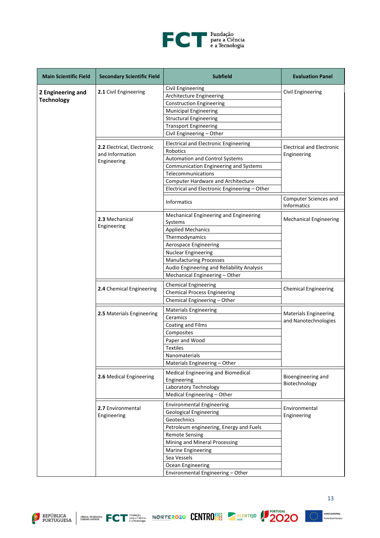

| <b>Main Scientific Field</b> | <b>Secondary Scientific Field</b> | <b>Subfield</b>                                   | <b>Evaluation Panel</b>              |
|------------------------------|-----------------------------------|---------------------------------------------------|--------------------------------------|
|                              |                                   | Civil Engineering                                 |                                      |
| 2 Engineering and            | 2.1 Civil Engineering             | Architecture Engineering                          | Civil Engineering                    |
| <b>Technology</b>            |                                   | <b>Construction Engineering</b>                   |                                      |
|                              |                                   | <b>Municipal Engineering</b>                      |                                      |
|                              |                                   | <b>Structural Engineering</b>                     |                                      |
|                              |                                   | <b>Transport Engineering</b>                      |                                      |
|                              |                                   | Civil Engineering - Other                         |                                      |
|                              |                                   |                                                   |                                      |
|                              | 2.2 Electrical, Electronic        | <b>Electrical and Electronic Engineering</b>      | <b>Electrical and Electronic</b>     |
|                              | and Information                   | Robotics                                          | Engineering                          |
|                              | Engineering                       | <b>Automation and Control Systems</b>             |                                      |
|                              |                                   | Communication Engineering and Systems             |                                      |
|                              |                                   | Telecommunications                                |                                      |
|                              |                                   | Computer Hardware and Architecture                |                                      |
|                              |                                   | Electrical and Electronic Engineering - Other     |                                      |
|                              |                                   | <b>Informatics</b>                                | Computer Sciences and<br>Informatics |
|                              | 2.3 Mechanical                    | Mechanical Engineering and Engineering<br>Systems | <b>Mechanical Engineering</b>        |
|                              | Engineering                       | <b>Applied Mechanics</b>                          |                                      |
|                              |                                   | Thermodynamics                                    |                                      |
|                              |                                   | Aerospace Engineering                             |                                      |
|                              |                                   | <b>Nuclear Engineering</b>                        |                                      |
|                              |                                   | <b>Manufacturing Processes</b>                    |                                      |
|                              |                                   | Audio Engineering and Reliability Analysis        |                                      |
|                              |                                   | Mechanical Engineering - Other                    |                                      |
|                              |                                   |                                                   |                                      |
|                              | 2.4 Chemical Engineering          | <b>Chemical Engineering</b>                       | <b>Chemical Engineering</b>          |
|                              |                                   | <b>Chemical Process Engineering</b>               |                                      |
|                              |                                   | Chemical Engineering - Other                      |                                      |
|                              | 2.5 Materials Engineering         | <b>Materials Engineering</b>                      | <b>Materials Engineering</b>         |
|                              |                                   | Ceramics                                          | and Nanotechnologies                 |
|                              |                                   | Coating and Films                                 |                                      |
|                              |                                   | Composites                                        |                                      |
|                              |                                   | Paper and Wood                                    |                                      |
|                              |                                   | <b>Textiles</b>                                   |                                      |
|                              |                                   | Nanomaterials                                     |                                      |
|                              |                                   | Materials Engineering - Other                     |                                      |
|                              |                                   | Medical Engineering and Biomedical                |                                      |
|                              | 2.6 Medical Engineering           | Engineering                                       | Bioengineering and                   |
|                              |                                   | Laboratory Technology                             | Biotechnology                        |
|                              |                                   | Medical Engineering - Other                       |                                      |
|                              |                                   | <b>Environmental Engineering</b>                  |                                      |
|                              | 2.7 Environmental                 | <b>Geological Engineering</b>                     | Environmental                        |
|                              | Engineering                       | Geotechnics                                       | Engineering                          |
|                              |                                   | Petroleum engineering, Energy and Fuels           |                                      |
|                              |                                   | <b>Remote Sensing</b>                             |                                      |
|                              |                                   | Mining and Mineral Processing                     |                                      |
|                              |                                   | <b>Marine Engineering</b>                         |                                      |
|                              |                                   | Sea Vessels                                       |                                      |
|                              |                                   | Ocean Engineering                                 |                                      |
|                              |                                   | Environmental Engineering - Other                 |                                      |









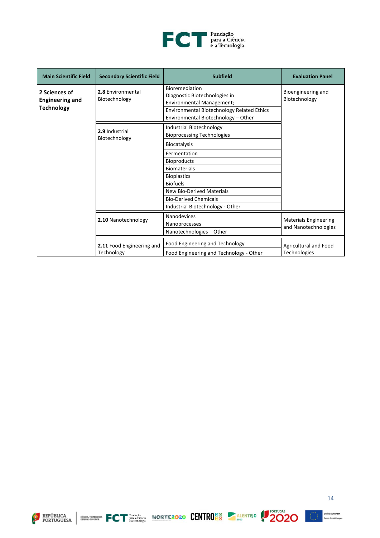

| <b>Main Scientific Field</b>                                 | <b>Secondary Scientific Field</b>       | <b>Subfield</b>                                                                                                                                                                                                                                                                                    | <b>Evaluation Panel</b>                              |
|--------------------------------------------------------------|-----------------------------------------|----------------------------------------------------------------------------------------------------------------------------------------------------------------------------------------------------------------------------------------------------------------------------------------------------|------------------------------------------------------|
| 2 Sciences of<br><b>Engineering and</b><br><b>Technology</b> | 2.8 Environmental<br>Biotechnology      | Bioremediation<br>Diagnostic Biotechnologies in<br>Environmental Management;<br>Environmental Biotechnology Related Ethics<br>Environmental Biotechnology - Other                                                                                                                                  | Bioengineering and<br>Biotechnology                  |
|                                                              | 2.9 Industrial<br>Biotechnology         | Industrial Biotechnology<br><b>Bioprocessing Technologies</b><br><b>Biocatalysis</b><br>Fermentation<br><b>Bioproducts</b><br><b>Biomaterials</b><br><b>Bioplastics</b><br><b>Biofuels</b><br><b>New Bio-Derived Materials</b><br><b>Bio-Derived Chemicals</b><br>Industrial Biotechnology - Other |                                                      |
|                                                              | 2.10 Nanotechnology                     | Nanodevices<br>Nanoprocesses<br>Nanotechnologies - Other                                                                                                                                                                                                                                           | <b>Materials Engineering</b><br>and Nanotechnologies |
|                                                              | 2.11 Food Engineering and<br>Technology | Food Engineering and Technology<br>Food Engineering and Technology - Other                                                                                                                                                                                                                         | Agricultural and Food<br><b>Technologies</b>         |







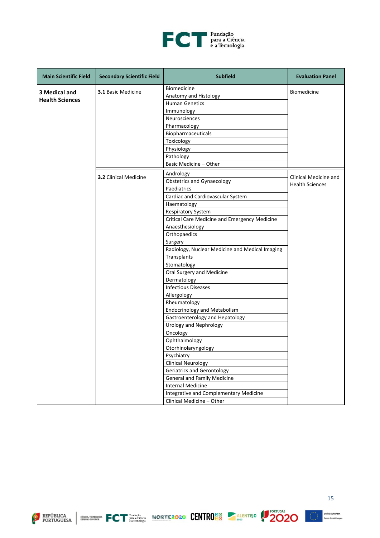

| <b>Main Scientific Field</b> | <b>Secondary Scientific Field</b> | <b>Subfield</b>                                      | <b>Evaluation Panel</b> |
|------------------------------|-----------------------------------|------------------------------------------------------|-------------------------|
|                              |                                   | Biomedicine                                          |                         |
| 3 Medical and                | <b>3.1 Basic Medicine</b>         | Anatomy and Histology                                | Biomedicine             |
| <b>Health Sciences</b>       |                                   | <b>Human Genetics</b>                                |                         |
|                              |                                   | Immunology                                           |                         |
|                              |                                   | Neurosciences                                        |                         |
|                              |                                   | Pharmacology                                         |                         |
|                              |                                   | Biopharmaceuticals                                   |                         |
|                              |                                   | Toxicology                                           |                         |
|                              |                                   | Physiology                                           |                         |
|                              |                                   | Pathology                                            |                         |
|                              |                                   | Basic Medicine - Other                               |                         |
|                              | 3.2 Clinical Medicine             | Andrology                                            | Clinical Medicine and   |
|                              |                                   | <b>Obstetrics and Gynaecology</b>                    | <b>Health Sciences</b>  |
|                              |                                   | Paediatrics                                          |                         |
|                              |                                   | Cardiac and Cardiovascular System                    |                         |
|                              |                                   | Haematology                                          |                         |
|                              |                                   | <b>Respiratory System</b>                            |                         |
|                              |                                   | <b>Critical Care Medicine and Emergency Medicine</b> |                         |
|                              |                                   | Anaesthesiology                                      |                         |
|                              |                                   | Orthopaedics                                         |                         |
|                              |                                   | Surgery                                              |                         |
|                              |                                   | Radiology, Nuclear Medicine and Medical Imaging      |                         |
|                              |                                   | Transplants                                          |                         |
|                              |                                   | Stomatology                                          |                         |
|                              |                                   | Oral Surgery and Medicine                            |                         |
|                              |                                   | Dermatology                                          |                         |
|                              |                                   | <b>Infectious Diseases</b>                           |                         |
|                              |                                   | Allergology                                          |                         |
|                              |                                   | Rheumatology                                         |                         |
|                              |                                   | <b>Endocrinology and Metabolism</b>                  |                         |
|                              |                                   | Gastroenterology and Hepatology                      |                         |
|                              |                                   | Urology and Nephrology                               |                         |
|                              |                                   | Oncology                                             |                         |
|                              |                                   | Ophthalmology                                        |                         |
|                              |                                   | Otorhinolaryngology                                  |                         |
|                              |                                   | Psychiatry                                           |                         |
|                              |                                   | <b>Clinical Neurology</b>                            |                         |
|                              |                                   | <b>Geriatrics and Gerontology</b>                    |                         |
|                              |                                   | <b>General and Family Medicine</b>                   |                         |
|                              |                                   | <b>Internal Medicine</b>                             |                         |
|                              |                                   | Integrative and Complementary Medicine               |                         |
|                              |                                   | Clinical Medicine - Other                            |                         |







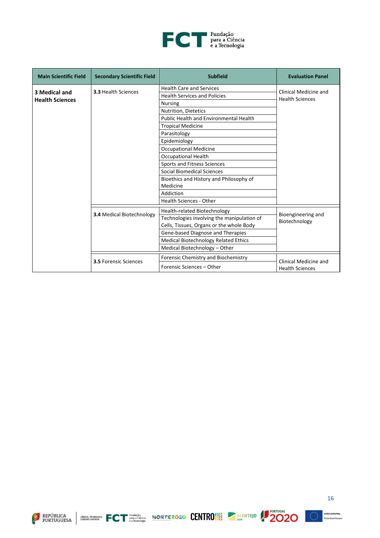

| <b>Main Scientific Field</b> | <b>Secondary Scientific Field</b> | <b>Subfield</b>                            | <b>Evaluation Panel</b>             |
|------------------------------|-----------------------------------|--------------------------------------------|-------------------------------------|
|                              |                                   | <b>Health Care and Services</b>            | Clinical Medicine and               |
| 3 Medical and                | <b>3.3 Health Sciences</b>        | <b>Health Services and Policies</b>        | <b>Health Sciences</b>              |
| <b>Health Sciences</b>       |                                   | <b>Nursing</b>                             |                                     |
|                              |                                   | Nutrition, Dietetics                       |                                     |
|                              |                                   | Public Health and Environmental Health     |                                     |
|                              |                                   | <b>Tropical Medicine</b>                   |                                     |
|                              |                                   | Parasitology                               |                                     |
|                              |                                   | Epidemiology                               |                                     |
|                              |                                   | <b>Occupational Medicine</b>               |                                     |
|                              |                                   | <b>Occupational Health</b>                 |                                     |
|                              |                                   | Sports and Fitness Sciences                |                                     |
|                              |                                   | Social Biomedical Sciences                 |                                     |
|                              |                                   | Bioethics and History and Philosophy of    |                                     |
|                              |                                   | Medicine                                   |                                     |
|                              |                                   | Addiction                                  |                                     |
|                              |                                   | <b>Health Sciences - Other</b>             |                                     |
|                              |                                   | Health-related Biotechnology               |                                     |
|                              | <b>3.4 Medical Biotechnology</b>  | Technologies involving the manipulation of | Bioengineering and<br>Biotechnology |
|                              |                                   | Cells, Tissues, Organs or the whole Body   |                                     |
|                              |                                   | Gene-based Diagnose and Therapies          |                                     |
|                              |                                   | Medical Biotechnology Related Ethics       |                                     |
|                              |                                   | Medical Biotechnology - Other              |                                     |
|                              | <b>3.5 Forensic Sciences</b>      | Forensic Chemistry and Biochemistry        | Clinical Medicine and               |
|                              |                                   | Forensic Sciences - Other                  | <b>Health Sciences</b>              |







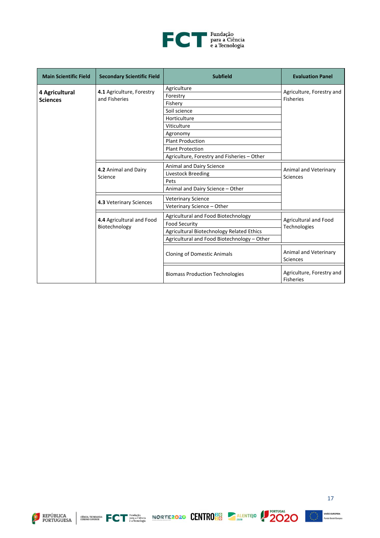

| <b>Main Scientific Field</b>      | <b>Secondary Scientific Field</b> | <b>Subfield</b>                             | <b>Evaluation Panel</b>                       |
|-----------------------------------|-----------------------------------|---------------------------------------------|-----------------------------------------------|
|                                   | 4.1 Agriculture, Forestry         | Agriculture                                 | Agriculture, Forestry and                     |
| 4 Agricultural<br><b>Sciences</b> | and Fisheries                     | Forestry                                    | <b>Fisheries</b>                              |
|                                   |                                   | Fishery                                     |                                               |
|                                   |                                   | Soil science                                |                                               |
|                                   |                                   | Horticulture                                |                                               |
|                                   |                                   | Viticulture                                 |                                               |
|                                   |                                   | Agronomy                                    |                                               |
|                                   |                                   | <b>Plant Production</b>                     |                                               |
|                                   |                                   | <b>Plant Protection</b>                     |                                               |
|                                   |                                   | Agriculture, Forestry and Fisheries - Other |                                               |
|                                   | 4.2 Animal and Dairy<br>Science   | Animal and Dairy Science                    |                                               |
|                                   |                                   | Livestock Breeding                          | Animal and Veterinary<br><b>Sciences</b>      |
|                                   |                                   | Pets                                        |                                               |
|                                   |                                   | Animal and Dairy Science - Other            |                                               |
|                                   | 4.3 Veterinary Sciences           | <b>Veterinary Science</b>                   |                                               |
|                                   |                                   | Veterinary Science - Other                  |                                               |
|                                   | 4.4 Agricultural and Food         | Agricultural and Food Biotechnology         | Agricultural and Food                         |
|                                   | Biotechnology                     | <b>Food Security</b>                        | Technologies                                  |
|                                   |                                   | Agricultural Biotechnology Related Ethics   |                                               |
|                                   |                                   | Agricultural and Food Biotechnology - Other |                                               |
|                                   |                                   | <b>Cloning of Domestic Animals</b>          | Animal and Veterinary<br><b>Sciences</b>      |
|                                   |                                   | <b>Biomass Production Technologies</b>      | Agriculture, Forestry and<br><b>Fisheries</b> |







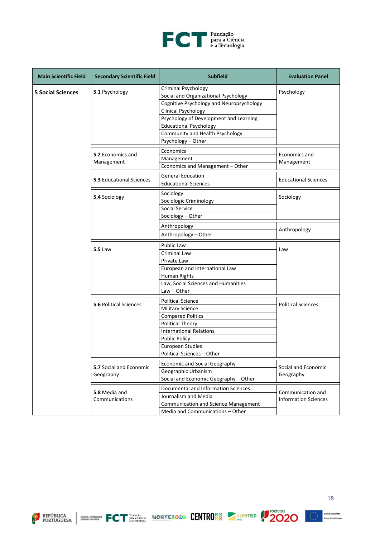

| <b>Main Scientific Field</b> | <b>Secondary Scientific Field</b>           | <b>Subfield</b>                                                                                                                                                                                                                                                                  | <b>Evaluation Panel</b>                          |
|------------------------------|---------------------------------------------|----------------------------------------------------------------------------------------------------------------------------------------------------------------------------------------------------------------------------------------------------------------------------------|--------------------------------------------------|
| <b>5 Social Sciences</b>     | 5.1 Psychology                              | <b>Criminal Psychology</b><br>Social and Organizational Psychology<br>Cognitive Psychology and Neuropsychology<br><b>Clinical Psychology</b><br>Psychology of Development and Learning<br><b>Educational Psychology</b><br>Community and Health Psychology<br>Psychology - Other | Psychology                                       |
|                              | 5.2 Economics and<br>Management             | Economics<br>Management<br>Economics and Management - Other                                                                                                                                                                                                                      | Economics and<br>Management                      |
|                              | <b>5.3 Educational Sciences</b>             | <b>General Education</b><br><b>Educational Sciences</b>                                                                                                                                                                                                                          | <b>Educational Sciences</b>                      |
|                              | 5.4 Sociology                               | Sociology<br>Sociologic Criminology<br><b>Social Service</b><br>Sociology - Other                                                                                                                                                                                                | Sociology                                        |
|                              |                                             | Anthropology<br>Anthropology - Other                                                                                                                                                                                                                                             | Anthropology                                     |
|                              | <b>5.5 Law</b>                              | Public Law<br>Criminal Law<br>Private Law<br>European and International Law<br>Human Rights<br>Law, Social Sciences and Humanities<br>$Law - Other$                                                                                                                              | Law                                              |
|                              | <b>5.6 Political Sciences</b>               | <b>Political Science</b><br><b>Military Science</b><br><b>Compared Politics</b><br><b>Political Theory</b><br><b>International Relations</b><br><b>Public Policy</b><br><b>European Studies</b><br>Political Sciences – Other                                                    | <b>Political Sciences</b>                        |
|                              | <b>5.7 Social and Economic</b><br>Geography | <b>Economic and Social Geography</b><br>Geographic Urbanism<br>Social and Economic Geography - Other                                                                                                                                                                             | Social and Economic<br>Geography                 |
|                              | 5.8 Media and<br>Communications             | Documental and Information Sciences<br>Journalism and Media<br><b>Communication and Science Management</b><br>Media and Communications - Other                                                                                                                                   | Communication and<br><b>Information Sciences</b> |